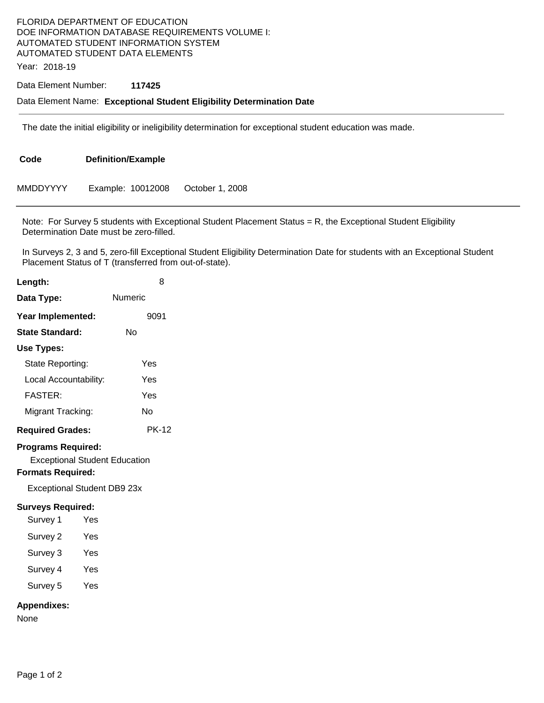## FLORIDA DEPARTMENT OF EDUCATION DOE INFORMATION DATABASE REQUIREMENTS VOLUME I: AUTOMATED STUDENT INFORMATION SYSTEM AUTOMATED STUDENT DATA ELEMENTS

Year: 2018-19

## Data Element Number: **117425**

## Data Element Name: **Exceptional Student Eligibility Determination Date**

The date the initial eligibility or ineligibility determination for exceptional student education was made.

| Code            | <b>Definition/Example</b> |                 |  |
|-----------------|---------------------------|-----------------|--|
| <b>MMDDYYYY</b> | Example: 10012008         | October 1, 2008 |  |

Note: For Survey 5 students with Exceptional Student Placement Status = R, the Exceptional Student Eligibility Determination Date must be zero-filled.

In Surveys 2, 3 and 5, zero-fill Exceptional Student Eligibility Determination Date for students with an Exceptional Student Placement Status of T (transferred from out-of-state).

| Length:                                                                                                                      | 8            |  |  |  |
|------------------------------------------------------------------------------------------------------------------------------|--------------|--|--|--|
| Data Type:                                                                                                                   | Numeric      |  |  |  |
| Year Implemented:                                                                                                            | 9091         |  |  |  |
| <b>State Standard:</b>                                                                                                       | No           |  |  |  |
| Use Types:                                                                                                                   |              |  |  |  |
| State Reporting:                                                                                                             | Yes          |  |  |  |
| Local Accountability:                                                                                                        | Yes          |  |  |  |
| <b>FASTER:</b>                                                                                                               | Yes          |  |  |  |
| Migrant Tracking:                                                                                                            | No           |  |  |  |
| <b>Required Grades:</b>                                                                                                      | <b>PK-12</b> |  |  |  |
| <b>Programs Required:</b><br><b>Exceptional Student Education</b><br><b>Formats Required:</b><br>Exceptional Student DB9 23x |              |  |  |  |
| <b>Surveys Required:</b>                                                                                                     |              |  |  |  |
| Survey 1<br>Yes                                                                                                              |              |  |  |  |
| Survey 2<br>Yes                                                                                                              |              |  |  |  |
| Survey 3<br>Yes                                                                                                              |              |  |  |  |
| Survey 4 Yes                                                                                                                 |              |  |  |  |
| Survey 5 Yes                                                                                                                 |              |  |  |  |
| <b>Appendixes:</b><br>None                                                                                                   |              |  |  |  |